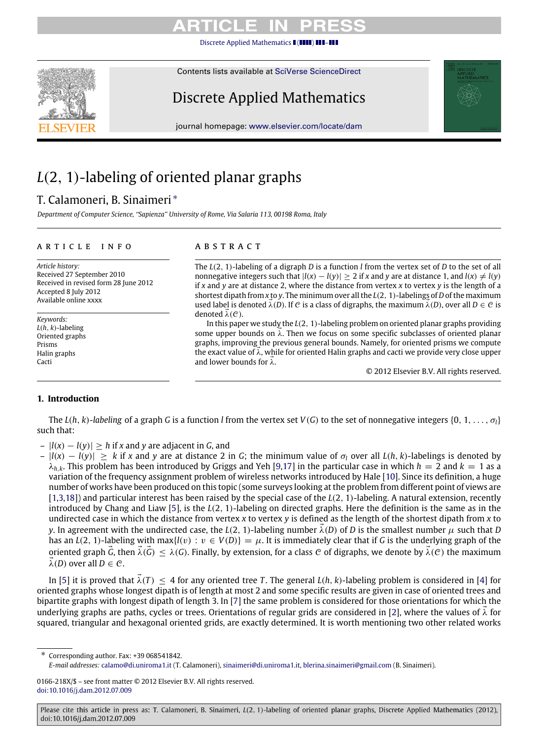[Discrete Applied Mathematics](http://dx.doi.org/10.1016/j.dam.2012.07.009)  $\blacksquare$ 



Contents lists available at [SciVerse ScienceDirect](http://www.elsevier.com/locate/dam)

# Discrete Applied Mathematics

journal homepage: [www.elsevier.com/locate/dam](http://www.elsevier.com/locate/dam)

# *L*(2, 1)-labeling of oriented planar graphs

## T. Calamoneri, B. Sinaimeri [∗](#page-0-0)

*Department of Computer Science, ''Sapienza'' University of Rome, Via Salaria 113, 00198 Roma, Italy*

## ARTICLE INFO

*Article history:* Received 27 September 2010 Received in revised form 28 June 2012 Accepted 8 July 2012 Available online xxxx

*Keywords: L*(*h*, *k*)-labeling Oriented graphs Prisms Halin graphs Cacti

## a b s t r a c t

The *L*(2, 1)-labeling of a digraph *D* is a function *l* from the vertex set of *D* to the set of all nonnegative integers such that  $|l(x) - l(y)| > 2$  if *x* and *y* are at distance 1, and  $l(x) \neq l(y)$ if *x* and *y* are at distance 2, where the distance from vertex *x* to vertex *y* is the length of a shortest dipath from *x* to *y*. The minimum over all the *L*(2, 1)-labelings of*D*of the maximum used label is denoted  $\lambda(D)$ . If C is a class of digraphs, the maximum  $\lambda(D)$ , over all  $D \in \mathcal{C}$  is denoted  $\lambda(\mathcal{C})$ .

In this paper we study the *L*(2, 1)-labeling problem on oriented planar graphs providing some upper bounds on  $\lambda$ . Then we focus on some specific subclasses of oriented planar graphs, improving the previous general bounds. Namely, for oriented prisms we compute the exact value of  $\lambda$ , while for oriented Halin graphs and cacti we provide very close upper and lower bounds for  $\lambda$ .

© 2012 Elsevier B.V. All rights reserved.

## **1. Introduction**

The  $L(h, k)$ -*labeling* of a graph *G* is a function *l* from the vertex set  $V(G)$  to the set of nonnegative integers  $\{0, 1, \ldots, \sigma_i\}$ such that:

- |*l*(*x*) − *l*(*y*)| ≥ *h* if *x* and *y* are adjacent in *G*, and
- $|l(x) l(y)| > k$  if x and y are at distance 2 in G; the minimum value of  $\sigma_l$  over all  $L(h, k)$ -labelings is denoted by  $\lambda_{h,k}$ . This problem has been introduced by Griggs and Yeh [\[9,](#page-6-0)[17\]](#page-6-1) in the particular case in which  $h = 2$  and  $k = 1$  as a variation of the frequency assignment problem of wireless networks introduced by Hale [\[10\]](#page-6-2). Since its definition, a huge number of works have been produced on this topic (some surveys looking at the problem from different point of views are [\[1,](#page-5-0)[3,](#page-6-3)[18\]](#page-6-4)) and particular interest has been raised by the special case of the *L*(2, 1)-labeling. A natural extension, recently introduced by Chang and Liaw [\[5\]](#page-6-5), is the *L*(2, 1)-labeling on directed graphs. Here the definition is the same as in the undirected case in which the distance from vertex *x* to vertex *y* is defined as the length of the shortest dipath from *x* to *y*. In agreement with the undirected case, the *L*(2, 1)-labeling number  $\lambda$ (*D*) of *D* is the smallest number  $\mu$  such that *D* has an *L*(2, 1)-labeling with max{*l*(*v*) :  $v \in V(D)$ } =  $\mu$ . It is immediately clear that if *G* is the underlying graph of the oriented graph *G*, then  $\lambda(G) \leq \lambda(G)$ . Finally, by extension, for a class C of digraphs, we denote by  $\lambda(G)$  the maximum  $\lambda(D)$  over all  $D \in \mathcal{C}$ .

In [\[5\]](#page-6-5) it is proved that  $\vec{\lambda}(T) \leq 4$  for any oriented tree *T*. The general *L*(*h*, *k*)-labeling problem is considered in [\[4\]](#page-6-6) for oriented graphs whose longest dipath is of length at most 2 and some specific results are given in case of oriented trees and bipartite graphs with longest dipath of length 3. In [\[7\]](#page-6-7) the same problem is considered for those orientations for which the underlying graphs are paths, cycles or trees. Orientations of regular grids are considered in [\[2\]](#page-5-1), where the values of  $\vec{\lambda}$  for squared, triangular and hexagonal oriented grids, are exactly determined. It is worth mentioning two other related works

*E-mail addresses:* [calamo@di.uniroma1.it](mailto:calamo@di.uniroma1.it) (T. Calamoneri), [sinaimeri@di.uniroma1.it,](mailto:sinaimeri@di.uniroma1.it) [blerina.sinaimeri@gmail.com](mailto:blerina.sinaimeri@gmail.com) (B. Sinaimeri).

<span id="page-0-0"></span><sup>∗</sup> Corresponding author. Fax: +39 068541842.

<sup>0166-218</sup>X/\$ – see front matter © 2012 Elsevier B.V. All rights reserved. [doi:10.1016/j.dam.2012.07.009](http://dx.doi.org/10.1016/j.dam.2012.07.009)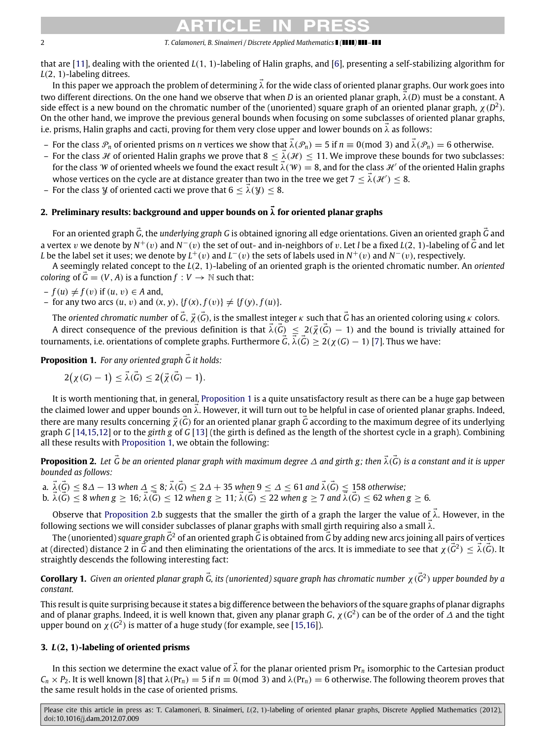that are [\[11\]](#page-6-8), dealing with the oriented *L*(1, 1)-labeling of Halin graphs, and [\[6\]](#page-6-9), presenting a self-stabilizing algorithm for *L*(2, 1)-labeling ditrees.

In this paper we approach the problem of determining  $\vec{\lambda}$  for the wide class of oriented planar graphs. Our work goes into two different directions. On the one hand we observe that when *D* is an oriented planar graph,  $\vec{\lambda}(D)$  must be a constant. A side effect is a new bound on the chromatic number of the (unoriented) square graph of an oriented planar graph,  $\chi(D^2)$ . On the other hand, we improve the previous general bounds when focusing on some subclasses of oriented planar graphs, i.e. prisms, Halin graphs and cacti, proving for them very close upper and lower bounds on  $\vec{\lambda}$  as follows:

- For the class  $\mathcal{P}_n$  of oriented prisms on *n* vertices we show that  $\vec{\lambda}(\mathcal{P}_n) = 5$  if  $n \equiv 0 \pmod{3}$  and  $\vec{\lambda}(\mathcal{P}_n) = 6$  otherwise.
- For the class H of oriented Halin graphs we prove that  $8 \leq \lambda(\mathcal{H}) \leq 11$ . We improve these bounds for two subclasses: for the class W of oriented wheels we found the exact result  $\vec{\lambda}(W) = 8$ , and for the class  $\mathcal{H}'$  of the oriented Halin graphs whose vertices on the cycle are at distance greater than two in the tree we get 7  $\leq \vec{\lambda}(\mathcal{H}')\leq 8.$
- For the class *Y* of oriented cacti we prove that  $6 < \lambda(y) < 8$ .

## **2. Preliminary results: background and upper bounds on**  $\vec{\lambda}$  for oriented planar graphs

For an oriented graph *<sup>G</sup>*⃗, the *underlying graph G* is obtained ignoring all edge orientations. Given an oriented graph *<sup>G</sup>*⃗ and a vertex v we denote by  $N^+(v)$  and  $N^-(v)$  the set of out- and in-neighbors of v. Let *l* be a fixed *L*(2, 1)-labeling of  $\vec{G}$  and let *L* be the label set it uses; we denote by  $L^+(v)$  and  $L^-(v)$  the sets of labels used in  $N^+(v)$  and  $N^-(v)$ , respectively.

A seemingly related concept to the *L*(2, 1)-labeling of an oriented graph is the oriented chromatic number. An *oriented coloring* of  $\vec{G} = (V, A)$  is a function  $f : V \to \mathbb{N}$  such that:

 $-f(u) \neq f(v)$  if  $(u, v) \in A$  and,

– for any two arcs  $(u, v)$  and  $(x, y)$ ,  $\{f(x), f(v)\}\neq \{f(y), f(u)\}.$ 

The *oriented chromatic number* of  $\vec{G}$ ,  $\vec{\chi}$  ( $\vec{G}$ ), is the smallest integer  $\kappa$  such that  $\vec{G}$  has an oriented coloring using  $\kappa$  colors.

A direct consequence of the previous definition is that  $\vec{\lambda}(\vec{G}) \leq 2(\vec{\chi}(\vec{G}) - 1)$  and the bound is trivially attained for tournaments, i.e. orientations of complete graphs. Furthermore  $\vec{G}$ ,  $\vec{\lambda}(\vec{G}) \geq 2(\chi(G)-1)$  [\[7\]](#page-6-7). Thus we have:

**Proposition 1.** For any oriented graph  $\vec{G}$  it holds:

<span id="page-1-0"></span>
$$
2\big(\chi(G)-1\big)\leq\vec{\lambda}(\vec{G})\leq 2\big(\vec{\chi}(\vec{G})-1\big).
$$

It is worth mentioning that, in general, [Proposition 1](#page-1-0) is a quite unsatisfactory result as there can be a huge gap between the claimed lower and upper bounds on  $\lambda$ . However, it will turn out to be helpful in case of oriented planar graphs. Indeed, there are many results concerning  $\vec{\chi}$  ( $\vec{G}$ ) for an oriented planar graph  $\vec{G}$  according to the maximum degree of its underlying graph *G* [\[14,](#page-6-10)[15](#page-6-11)[,12\]](#page-6-12) or to the *girth g* of *G* [\[13\]](#page-6-13) (the girth is defined as the length of the shortest cycle in a graph). Combining all these results with [Proposition 1,](#page-1-0) we obtain the following:

<span id="page-1-1"></span>**Proposition 2.** Let  $\vec{G}$  be an oriented planar graph with maximum degree ∆ and girth g; then  $\vec{\lambda}(\vec{G})$  is a constant and it is upper *bounded as follows:*

a.  $\vec{\lambda}(\vec{G}) \leq 8\varDelta - 13$  when  $\varDelta \leq 8; \vec{\lambda}(\vec{G}) \leq 2\varDelta + 35$  when  $9 \leq \varDelta \leq 61$  and  $\vec{\lambda}(\vec{G}) \leq 158$  otherwise;  $\vec{b}$ ,  $\vec{\lambda}(\vec{G}) \leq 8$  when  $g \geq 16$ ;  $\vec{\lambda}(\vec{G}) \leq 12$  when  $g \geq 11$ ;  $\vec{\lambda}(\vec{G}) \leq 22$  when  $g \geq 7$  and  $\vec{\lambda}(\vec{G}) \leq 62$  when  $g \geq 6$ .

Observe that [Proposition 2.](#page-1-1)b suggests that the smaller the girth of a graph the larger the value of  $\vec{\lambda}$ . However, in the following sections we will consider subclasses of planar graphs with small girth requiring also a small  $\vec{\lambda}$ .

The (unoriented) *square graph*  $\vec{G}^2$  of an oriented graph  $\vec{G}$  is obtained from  $\vec{G}$  by adding new arcs joining all pairs of vertices at (directed) distance 2 in  $\vec{G}$  and then eliminating the orientations of the arcs. It is immediate to see that  $\chi(\vec{G}^2) \leq \vec{\lambda}(\vec{G})$ . It straightly descends the following interesting fact:

**Corollary 1.** *Given an oriented planar graph*  $\vec{G}$ *, its (unoriented) square graph has chromatic number χ(* $\vec{G}$ *<sup>2</sup>) upper bounded by a constant.*

This result is quite surprising because it states a big difference between the behaviors of the square graphs of planar digraphs and of planar graphs. Indeed, it is well known that, given any planar graph *G*,  $\chi(G^2)$  can be of the order of  $\Delta$  and the tight upper bound on  $\chi$  ( $G^2$ ) is matter of a huge study (for example, see [\[15](#page-6-11)[,16\]](#page-6-14)).

## **3.** *L*(**2**, **1**)**-labeling of oriented prisms**

In this section we determine the exact value of  $\lambda$  for the planar oriented prism Pr<sub>n</sub> isomorphic to the Cartesian product  $C_n \times P_2$ . It is well known [\[8\]](#page-6-15) that  $\lambda$ (Pr<sub>n</sub>) = 5 if  $n \equiv 0 \pmod{3}$  and  $\lambda$ (Pr<sub>n</sub>) = 6 otherwise. The following theorem proves that the same result holds in the case of oriented prisms.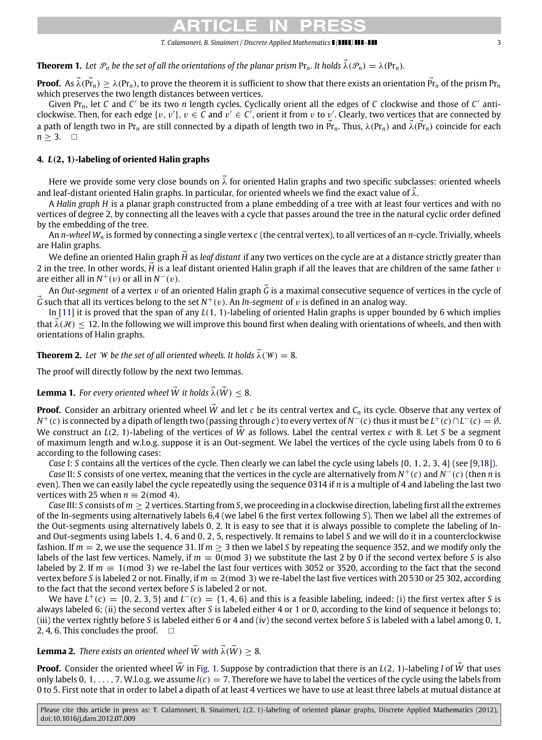**Theorem 1.** Let  $\mathcal{P}_n$  be the set of all the orientations of the planar prism  $Pr_n$ . It holds  $\vec{\lambda}(\mathcal{P}_n) = \lambda(Pr_n)$ .

**Proof.** As  $\vec{\lambda}$ ( $\vec{Pr_n}$ )  $\geq$   $\lambda$ (Pr<sub>n</sub>), to prove the theorem it is sufficient to show that there exists an orientation  $\vec{Pr_n}$  of the prism Pr<sub>n</sub> which preserves the two length distances between vertices.

Given Pr<sub>n</sub>, let C and C' be its two *n* length cycles. Cyclically orient all the edges of C clockwise and those of C' anticlockwise. Then, for each edge  $\{v, v'\}$ ,  $v \in C$  and  $v' \in C'$ , orient it from  $v$  to  $v'$ . Clearly, two vertices that are connected by a path of length two in Pr<sub>n</sub> are still connected by a dipath of length two in  $\vec{Pr}_n$ . Thus,  $\lambda(Pr_n)$  and  $\vec{\lambda}(Pr_n)$  coincide for each  $n \geq 3$ .  $\Box$ 

## **4.** *L*(**2**, **1**)**-labeling of oriented Halin graphs**

Here we provide some very close bounds on  $\vec{\lambda}$  for oriented Halin graphs and two specific subclasses: oriented wheels and leaf-distant oriented Halin graphs. In particular, for oriented wheels we find the exact value of  $\lambda$ .

A *Halin graph H* is a planar graph constructed from a plane embedding of a tree with at least four vertices and with no vertices of degree 2, by connecting all the leaves with a cycle that passes around the tree in the natural cyclic order defined by the embedding of the tree.

An *n*-*wheel W<sup>n</sup>* is formed by connecting a single vertex *c* (the central vertex), to all vertices of an *n*-cycle. Trivially, wheels are Halin graphs.

We define an oriented Halin graph  $\vec{H}$  as *leaf distant* if any two vertices on the cycle are at a distance strictly greater than 2 in the tree. In other words, *H* is a leaf distant oriented Halin graph if all the leaves that are children of the same father v are either all in  $N^+(v)$  or all in  $N^-(v)$ .

An *Out-segment* of a vertex v of an oriented Halin graph *<sup>G</sup>*⃗ is a maximal consecutive sequence of vertices in the cycle of  $\vec{G}$  such that all its vertices belong to the set  $N^+(v)$ . An *In-segment* of  $v$  is defined in an analog way.

In [\[11\]](#page-6-8) it is proved that the span of any *L*(1, 1)-labeling of oriented Halin graphs is upper bounded by 6 which implies that  $\lambda(\mathcal{H}) \leq 12$ . In the following we will improve this bound first when dealing with orientations of wheels, and then with orientations of Halin graphs.

<span id="page-2-0"></span>**Theorem 2.** Let *W* be the set of all oriented wheels. It holds  $\vec{\lambda}(W) = 8$ .

The proof will directly follow by the next two lemmas.

<span id="page-2-2"></span>**Lemma 1.** *For every oriented wheel*  $\vec{W}$  *it holds*  $\vec{\lambda}(\vec{W})$  < 8*.* 

**Proof.** Consider an arbitrary oriented wheel  $\vec{W}$  and let *c* be its central vertex and  $C_n$  its cycle. Observe that any vertex of *N*<sup>+</sup>(*c*) is connected by a dipath of length two (passing through *c*) to every vertex of *N*<sup>−</sup>(*c*) thus it must be *L*<sup>+</sup>(*c*)∩*L*<sup>−</sup>(*c*) = Ø. We construct an *L*(2, 1)-labeling of the vertices of *W* as follows. Label the central vertex *c* with 8. Let *S* be a segment of maximum length and w.l.o.g. suppose it is an Out-segment. We label the vertices of the cycle using labels from 0 to 6 according to the following cases:

*Case* I: *S* contains all the vertices of the cycle. Then clearly we can label the cycle using labels {0, 1, 2, 3, 4} (see [\[9](#page-6-0)[,18\]](#page-6-4)).

*Case* II: *S* consists of one vertex, meaning that the vertices in the cycle are alternatively from *N*<sup>+</sup>(*c*) and *N*<sup>−</sup>(*c*) (then *n* is even). Then we can easily label the cycle repeatedly using the sequence 0314 if *n* is a multiple of 4 and labeling the last two vertices with 25 when  $n \equiv 2 \pmod{4}$ .

*Case* III: *S* consists of *m* ≥ 2 vertices. Starting from *S*, we proceeding in a clockwise direction, labeling first all the extremes of the In-segments using alternatively labels 6,4 (we label 6 the first vertex following *S*). Then we label all the extremes of the Out-segments using alternatively labels 0, 2. It is easy to see that it is always possible to complete the labeling of Inand Out-segments using labels 1, 4, 6 and 0, 2, 5, respectively. It remains to label *S* and we will do it in a counterclockwise fashion. If  $m = 2$ , we use the sequence 31. If  $m > 3$  then we label S by repeating the sequence 352, and we modify only the labels of the last few vertices. Namely, if  $m \equiv 0 \pmod{3}$  we substitute the last 2 by 0 if the second vertex before *S* is also labeled by 2. If  $m \equiv 1 \pmod{3}$  we re-label the last four vertices with 3052 or 3520, according to the fact that the second vertex before *S* is labeled 2 or not. Finally, if *m* ≡ 2(mod 3) we re-label the last five vertices with 20 530 or 25 302, according to the fact that the second vertex before *S* is labeled 2 or not.

We have  $L^+(c) = \{0, 2, 3, 5\}$  and  $L^-(c) = \{1, 4, 6\}$  and this is a feasible labeling, indeed: (i) the first vertex after *S* is always labeled 6; (ii) the second vertex after *S* is labeled either 4 or 1 or 0, according to the kind of sequence it belongs to; (iii) the vertex rightly before *S* is labeled either 6 or 4 and (iv) the second vertex before *S* is labeled with a label among 0, 1, 2, 4, 6. This concludes the proof.  $\Box$ 

## <span id="page-2-1"></span>**Lemma 2.** *There exists an oriented wheel*  $\vec{W}$  *with*  $\vec{\lambda}(\vec{W}) > 8$ *.*

**Proof.** Consider the oriented wheel *W* in [Fig. 1.](#page-3-0) Suppose by contradiction that there is an *L*(2, 1)-labeling *l* of *W* that uses only labels 0, 1, . . . . 7. W.l.o.g. we assume  $l(c) = 7$ . Therefore we have to label the vertices of the cycle using the labels from 0 to 5. First note that in order to label a dipath of at least 4 vertices we have to use at least three labels at mutual distance at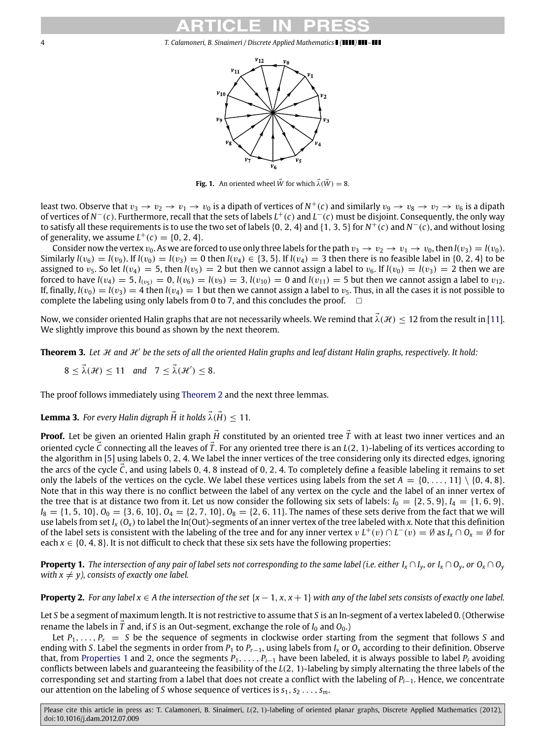

**Fig. 1.** An oriented wheel  $\vec{W}$  for which  $\vec{\lambda}(\vec{W}) = 8$ .

<span id="page-3-0"></span>least two. Observe that  $v_3\to v_2\to v_1\to v_0$  is a dipath of vertices of  $N^+(c)$  and similarly  $v_9\to v_8\to v_7\to v_6$  is a dipath of vertices of *N* <sup>−</sup>(*c*). Furthermore, recall that the sets of labels *L* <sup>+</sup>(*c*) and *L* <sup>−</sup>(*c*) must be disjoint. Consequently, the only way to satisfy all these requirements is to use the two set of labels {0, 2, 4} and {1, 3, 5} for *N* <sup>+</sup>(*c*) and *N* <sup>−</sup>(*c*), and without losing of generality, we assume  $L^+(c) = \{0, 2, 4\}.$ 

Consider now the vertex  $v_0$ . As we are forced to use only three labels for the path  $v_3 \to v_2 \to v_1 \to v_0$ , then  $l(v_3) = l(v_0)$ . Similarly  $l(v_6) = l(v_9)$ . If  $l(v_0) = l(v_3) = 0$  then  $l(v_4) \in \{3, 5\}$ . If  $l(v_4) = 3$  then there is no feasible label in  $\{0, 2, 4\}$  to be assigned to  $v_5$ . So let  $l(v_4) = 5$ , then  $l(v_5) = 2$  but then we cannot assign a label to  $v_6$ . If  $l(v_0) = l(v_3) = 2$  then we are forced to have  $l(v_4) = 5$ ,  $l_{(v_5)} = 0$ ,  $l(v_6) = l(v_9) = 3$ ,  $l(v_{10}) = 0$  and  $l(v_{11}) = 5$  but then we cannot assign a label to  $v_{12}$ . If, finally,  $l(v_0) = l(v_3) = 4$  then  $l(v_4) = 1$  but then we cannot assign a label to  $v_5$ . Thus, in all the cases it is not possible to complete the labeling using only labels from 0 to 7, and this concludes the proof.  $\square$ 

Now, we consider oriented Halin graphs that are not necessarily wheels. We remind that  $\lambda(\mathcal{H}) \leq 12$  from the result in [\[11\]](#page-6-8). We slightly improve this bound as shown by the next theorem.

Theorem 3. Let  $\mathcal H$  and  $\mathcal H'$  be the sets of all the oriented Halin graphs and leaf distant Halin graphs, respectively. It hold:

 $8 \leq \vec{\lambda}(\mathcal{H}) \leq 11$  and  $7 \leq \vec{\lambda}(\mathcal{H}') \leq 8$ .

The proof follows immediately using [Theorem 2](#page-2-0) and the next three lemmas.

**Lemma 3.** For every Halin digraph  $\vec{H}$  it holds  $\vec{\lambda}(\vec{H}) < 11$ .

**Proof.** Let be given an oriented Halin graph  $\vec{H}$  constituted by an oriented tree  $\vec{T}$  with at least two inner vertices and an oriented cycle  $\vec{C}$  connecting all the leaves of  $\vec{T}$ . For any oriented tree there is an  $L(2, 1)$ -labeling of its vertices according to the algorithm in [\[5\]](#page-6-5) using labels 0, 2, 4. We label the inner vertices of the tree considering only its directed edges, ignoring the arcs of the cycle  $\bar{C}$ , and using labels 0, 4, 8 instead of 0, 2, 4. To completely define a feasible labeling it remains to set only the labels of the vertices on the cycle. We label these vertices using labels from the set  $A = \{0, \ldots, 11\} \setminus \{0, 4, 8\}.$ Note that in this way there is no conflict between the label of any vertex on the cycle and the label of an inner vertex of the tree that is at distance two from it. Let us now consider the following six sets of labels:  $I_0 = \{2, 5, 9\}$ ,  $I_4 = \{1, 6, 9\}$ ,  $I_8 = \{1, 5, 10\}$ ,  $O_0 = \{3, 6, 10\}$ ,  $O_4 = \{2, 7, 10\}$ ,  $O_8 = \{2, 6, 11\}$ . The names of these sets derive from the fact that we will use labels from set  $I_x(0_x)$  to label the In(Out)-segments of an inner vertex of the tree labeled with *x*. Note that this definition of the label sets is consistent with the labeling of the tree and for any inner vertex  $v L^+(v) \cap L^-(v) = \emptyset$  as  $I_x \cap O_x = \emptyset$  for each  $x \in \{0, 4, 8\}$ . It is not difficult to check that these six sets have the following properties:

<span id="page-3-1"></span>**Property 1.** The intersection of any pair of label sets not corresponding to the same label (i.e. either  $I_x \cap I_y$ , or  $I_x \cap O_y$ , or  $O_x \cap O_y$ *with*  $x \neq y$ *), consists of exactly one label.* 

<span id="page-3-2"></span>**Property 2.** *For any label*  $x \in A$  *the intersection of the set*  $\{x - 1, x, x + 1\}$  *with any of the label sets consists of exactly one label.* 

Let *S* be a segment of maximum length. It is not restrictive to assume that *S* is an In-segment of a vertex labeled 0. (Otherwise rename the labels in  $\overline{T}$  and, if *S* is an Out-segment, exchange the role of  $I_0$  and  $O_0$ .)

Let  $P_1, \ldots, P_r = S$  be the sequence of segments in clockwise order starting from the segment that follows *S* and ending with *S*. Label the segments in order from  $P_1$  to  $P_{r-1}$ , using labels from  $I_x$  or  $O_x$  according to their definition. Observe that, from [Properties 1](#page-3-1) and [2,](#page-3-2) once the segments  $P_1, \ldots, P_{i-1}$  have been labeled, it is always possible to label  $P_i$  avoiding conflicts between labels and guaranteeing the feasibility of the *L*(2, 1)-labeling by simply alternating the three labels of the corresponding set and starting from a label that does not create a conflict with the labeling of *Pi*−1. Hence, we concentrate our attention on the labeling of *S* whose sequence of vertices is  $s_1, s_2, \ldots, s_m$ .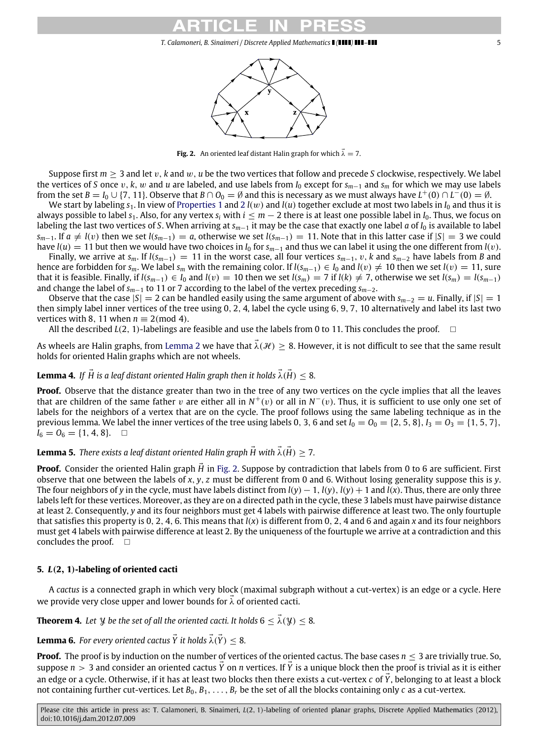**Fig. 2.** An oriented leaf distant Halin graph for which  $\vec{\lambda} = 7$ .

<span id="page-4-0"></span>Suppose first  $m \geq 3$  and let v, k and w, u be the two vertices that follow and precede *S* clockwise, respectively. We label the vertices of *S* once v, *k*, w and *u* are labeled, and use labels from  $I_0$  except for  $s_{m-1}$  and  $s_m$  for which we may use labels from the set  $B = I_0 \cup \{7, 11\}$ . Observe that  $B \cap O_0 = \emptyset$  and this is necessary as we must always have  $L^+(0) \cap L^-(0) = \emptyset$ .

We start by labeling  $s_1$ . In view of [Properties 1](#page-3-1) and [2](#page-3-2)  $l(w)$  and  $l(u)$  together exclude at most two labels in  $I_0$  and thus it is always possible to label  $s_1$ . Also, for any vertex  $s_i$  with  $i \leq m-2$  there is at least one possible label in  $I_0$ . Thus, we focus on labeling the last two vertices of *S*. When arriving at *sm*−<sup>1</sup> it may be the case that exactly one label *a* of *I*<sup>0</sup> is available to label  $s_{m-1}$ . If  $a \neq l(v)$  then we set  $l(s_{m-1}) = a$ , otherwise we set  $l(s_{m-1}) = 11$ . Note that in this latter case if  $|S| = 3$  we could have  $l(u) = 11$  but then we would have two choices in  $I_0$  for  $s_{m-1}$  and thus we can label it using the one different from  $l(v)$ .

Finally, we arrive at  $s_m$ . If  $l(s_{m-1}) = 11$  in the worst case, all four vertices  $s_{m-1}$ , v, k and  $s_{m-2}$  have labels from *B* and hence are forbidden for  $s_m$ . We label  $s_m$  with the remaining color. If  $l(s_{m-1}) \in I_0$  and  $l(v) \neq 10$  then we set  $l(v) = 11$ , sure that it is feasible. Finally, if  $l(s_{m-1}) \in I_0$  and  $l(v) = 10$  then we set  $l(s_m) = 7$  if  $l(k) \neq 7$ , otherwise we set  $l(s_m) = l(s_{m-1})$ and change the label of *sm*−<sup>1</sup> to 11 or 7 according to the label of the vertex preceding *sm*−2.

Observe that the case  $|S| = 2$  can be handled easily using the same argument of above with  $s_{m-2} = u$ . Finally, if  $|S| = 1$ then simply label inner vertices of the tree using 0, 2, 4, label the cycle using 6, 9, 7, 10 alternatively and label its last two vertices with 8, 11 when  $n \equiv 2 \pmod{4}$ .

All the described  $L(2, 1)$ -labelings are feasible and use the labels from 0 to 11. This concludes the proof.  $\square$ 

As wheels are Halin graphs, from [Lemma 2](#page-2-1) we have that  $\lambda(\mathcal{H}) \geq 8$ . However, it is not difficult to see that the same result holds for oriented Halin graphs which are not wheels.

## **Lemma 4.** If  $\overrightarrow{H}$  is a leaf distant oriented Halin graph then it holds  $\overrightarrow{\lambda}(\overrightarrow{H}) < 8$ .

**Proof.** Observe that the distance greater than two in the tree of any two vertices on the cycle implies that all the leaves that are children of the same father v are either all in  $N^+(v)$  or all in  $N^-(v)$ . Thus, it is sufficient to use only one set of labels for the neighbors of a vertex that are on the cycle. The proof follows using the same labeling technique as in the previous lemma. We label the inner vertices of the tree using labels 0, 3, 6 and set  $I_0 = O_0 = \{2, 5, 8\}, I_3 = O_3 = \{1, 5, 7\}$ ,  $I_6 = O_6 = \{1, 4, 8\}.$ 

## **Lemma 5.** *There exists a leaf distant oriented Halin graph*  $\vec{H}$  with  $\vec{\lambda}(\vec{H}) > 7$ .

**Proof.** Consider the oriented Halin graph  $\vec{H}$  in [Fig. 2.](#page-4-0) Suppose by contradiction that labels from 0 to 6 are sufficient. First observe that one between the labels of *x*, *y*, *z* must be different from 0 and 6. Without losing generality suppose this is *y*. The four neighbors of *y* in the cycle, must have labels distinct from  $l(y) - 1$ ,  $l(y)$ ,  $l(y) + 1$  and  $l(x)$ . Thus, there are only three labels left for these vertices. Moreover, as they are on a directed path in the cycle, these 3 labels must have pairwise distance at least 2. Consequently, *y* and its four neighbors must get 4 labels with pairwise difference at least two. The only fourtuple that satisfies this property is 0, 2, 4, 6. This means that *l*(*x*) is different from 0, 2, 4 and 6 and again *x* and its four neighbors must get 4 labels with pairwise difference at least 2. By the uniqueness of the fourtuple we arrive at a contradiction and this concludes the proof.  $\square$ 

### **5.** *L*(**2**, **1**)**-labeling of oriented cacti**

A *cactus* is a connected graph in which very block (maximal subgraph without a cut-vertex) is an edge or a cycle. Here we provide very close upper and lower bounds for  $\lambda$  of oriented cacti.

**Theorem 4.** Let *Y* be the set of all the oriented cacti. It holds  $6 \le \lambda(\mathcal{Y}) \le 8$ .

**Lemma 6.** For every oriented cactus  $\vec{Y}$  it holds  $\vec{\lambda}(\vec{Y}) < 8$ .

**Proof.** The proof is by induction on the number of vertices of the oriented cactus. The base cases  $n \leq 3$  are trivially true. So, suppose  $n > 3$  and consider an oriented cactus  $\vec{Y}$  on *n* vertices. If  $\vec{Y}$  is a unique block then the proof is trivial as it is either an edge or a cycle. Otherwise, if it has at least two blocks then there exists a cut-vertex *c* of *Y*, belonging to at least a block not containing further cut-vertices. Let  $B_0, B_1, \ldots, B_r$  be the set of all the blocks containing only *c* as a cut-vertex.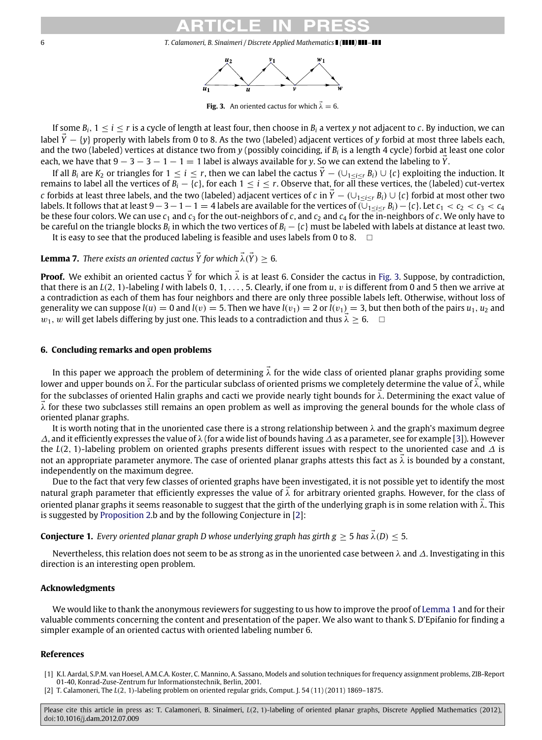

**Fig. 3.** An oriented cactus for which  $\vec{\lambda} = 6$ .

<span id="page-5-2"></span>If some  $B_i$ ,  $1 \le i \le r$  is a cycle of length at least four, then choose in  $B_i$  a vertex *y* not adjacent to *c*. By induction, we can label  $\tilde{Y} - \{y\}$  properly with labels from 0 to 8. As the two (labeled) adjacent vertices of *y* forbid at most three labels each, and the two (labeled) vertices at distance two from *y* (possibly coinciding, if *B<sup>i</sup>* is a length 4 cycle) forbid at least one color each, we have that  $9 - 3 - 3 - 1 - 1 = 1$  label is always available for *y*. So we can extend the labeling to *Y*.

If all  $B_i$  are  $K_2$  or triangles for  $1 \le i \le r$ , then we can label the cactus  $\tilde{Y} - (\bigcup_{1 \le i \le r} B_i) \cup \{c\}$  exploiting the induction. It remains to label all the vertices of  $B_i - \{c\}$ , for each  $1 \le i \le r$ . Observe that, for all these vertices, the (labeled) cut-vertex *c* forbids at least three labels, and the two (labeled) adjacent vertices of *c* in  $\tilde{Y}$  − (∪<sub>1≤*i*≤*r*</sub> *B*<sub>*i*</sub>) ∪ {*c*} forbid at most other two labels. It follows that at least  $9-3-1-1=4$  labels are available for the vertices of  $(\overline{\bigcup_{1\leq i\leq r}}B_i)-\{c\}$ . Let  $c_1 < c_2 < c_3 < c_4$ be these four colors. We can use  $c_1$  and  $c_3$  for the out-neighbors of *c*, and  $c_2$  and  $c_4$  for the in-neighbors of *c*. We only have to be careful on the triangle blocks  $B_i$  in which the two vertices of  $B_i - \{c\}$  must be labeled with labels at distance at least two. It is easy to see that the produced labeling is feasible and uses labels from 0 to 8.  $\Box$ 

**Lemma 7.** *There exists an oriented cactus*  $\vec{Y}$  *for which*  $\vec{\lambda}(\vec{Y}) > 6$ *.* 

**Proof.** We exhibit an oriented cactus  $\vec{Y}$  for which  $\vec{\lambda}$  is at least 6. Consider the cactus in [Fig. 3.](#page-5-2) Suppose, by contradiction, that there is an *L*(2, 1)-labeling *l* with labels 0, 1, . . . , 5. Clearly, if one from *u*, v is different from 0 and 5 then we arrive at a contradiction as each of them has four neighbors and there are only three possible labels left. Otherwise, without loss of generality we can suppose  $l(u) = 0$  and  $l(v) = 5$ . Then we have  $l(v_1) = 2$  or  $l(v_1) = 3$ , but then both of the pairs  $u_1, u_2$  and  $w_1$ , w will get labels differing by just one. This leads to a contradiction and thus  $\lambda \geq 6$ .  $\Box$ 

### **6. Concluding remarks and open problems**

In this paper we approach the problem of determining  $\vec{\lambda}$  for the wide class of oriented planar graphs providing some lower and upper bounds on  $\lambda$ . For the particular subclass of oriented prisms we completely determine the value of λ, while for the subclasses of oriented Halin graphs and cacti we provide nearly tight bounds for  $\lambda$ . Determining the exact value of  $\lambda$  for these two subclasses still remains an open problem as well as improving the general bounds for the whole class of oriented planar graphs.

It is worth noting that in the unoriented case there is a strong relationship between  $\lambda$  and the graph's maximum degree ∆, and it efficiently expresses the value of λ (for a wide list of bounds having ∆ as a parameter, see for example [\[3\]](#page-6-3)). However the *L*(2, 1)-labeling problem on oriented graphs presents different issues with respect to the unoriented case and ∆ is not an appropriate parameter anymore. The case of oriented planar graphs attests this fact as  $\bar{\lambda}$  is bounded by a constant, independently on the maximum degree.

Due to the fact that very few classes of oriented graphs have been investigated, it is not possible yet to identify the most natural graph parameter that efficiently expresses the value of  $\lambda$  for arbitrary oriented graphs. However, for the class of oriented planar graphs it seems reasonable to suggest that the girth of the underlying graph is in some relation with  $\lambda$ . This is suggested by [Proposition 2.](#page-1-1)b and by the following Conjecture in [\[2\]](#page-5-1):

**Conjecture 1.** *Every oriented planar graph D whose underlying graph has girth*  $g \ge 5$  *has*  $\vec{\lambda}(D) < 5$ *.* 

Nevertheless, this relation does not seem to be as strong as in the unoriented case between  $\lambda$  and  $\Delta$ . Investigating in this direction is an interesting open problem.

### **Acknowledgments**

We would like to thank the anonymous reviewers for suggesting to us how to improve the proof of [Lemma 1](#page-2-2) and for their valuable comments concerning the content and presentation of the paper. We also want to thank S. D'Epifanio for finding a simpler example of an oriented cactus with oriented labeling number 6.

## **References**

- <span id="page-5-0"></span>[1] K.I. Aardal, S.P.M. van Hoesel, A.M.C.A. Koster, C. Mannino, A. Sassano, Models and solution techniques for frequency assignment problems, ZIB-Report 01-40, Konrad-Zuse-Zentrum fur Informationstechnik, Berlin, 2001.
- <span id="page-5-1"></span>[2] T. Calamoneri, The *L*(2, 1)-labeling problem on oriented regular grids, Comput. J. 54 (11) (2011) 1869–1875.